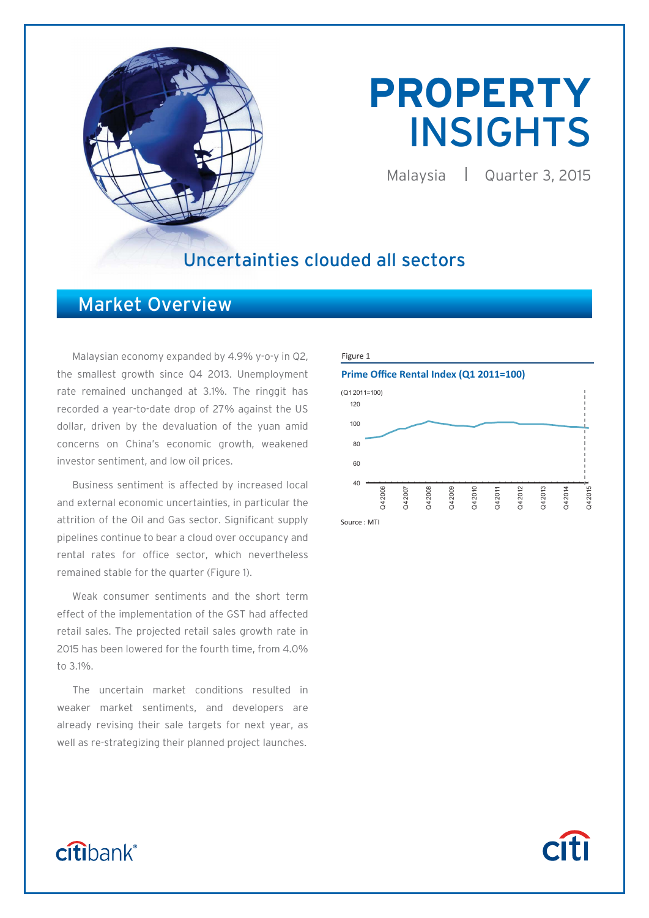

# **PROPERTY**  INSIGHTS

Malaysia | Quarter 3, 2015

**Citi** 

### Uncertainties clouded all sectors

### Market Overview

Malaysian economy expanded by 4.9% y-o-y in Q2, the smallest growth since Q4 2013. Unemployment rate remained unchanged at 3.1%. The ringgit has recorded a year-to-date drop of 27% against the US dollar, driven by the devaluation of the yuan amid concerns on China's economic growth, weakened investor sentiment, and low oil prices.

 Business sentiment is affected by increased local and external economic uncertainties, in particular the attrition of the Oil and Gas sector. Significant supply pipelines continue to bear a cloud over occupancy and rental rates for office sector, which nevertheless remained stable for the quarter (Figure 1).

 Weak consumer sentiments and the short term effect of the implementation of the GST had affected retail sales. The projected retail sales growth rate in 2015 has been lowered for the fourth time, from 4.0% to 3.1%.

 The uncertain market conditions resulted in weaker market sentiments, and developers are already revising their sale targets for next year, as well as re-strategizing their planned project launches.





Source : MTI

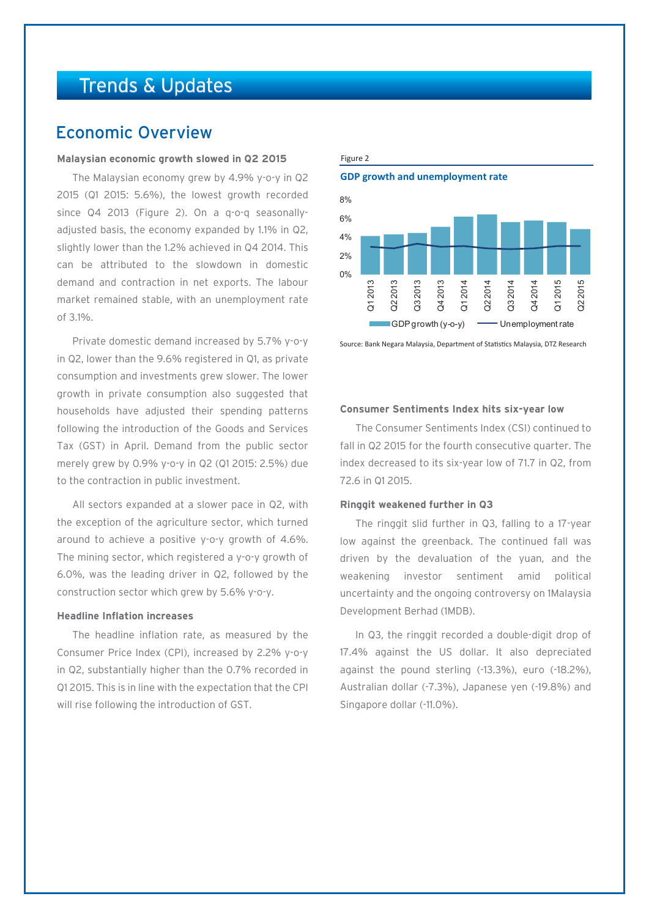## Trends & Updates

### Economic Overview

#### **Malaysian economic growth slowed in Q2 2015**

The Malaysian economy grew by 4.9% y-o-y in Q2 2015 (Q1 2015: 5.6%), the lowest growth recorded since Q4 2013 (Figure 2). On a q-o-q seasonallyadjusted basis, the economy expanded by 1.1% in Q2, slightly lower than the 1.2% achieved in Q4 2014. This can be attributed to the slowdown in domestic demand and contraction in net exports. The labour market remained stable, with an unemployment rate of 3.1%.

Private domestic demand increased by 5.7% y-o-y in Q2, lower than the 9.6% registered in Q1, as private consumption and investments grew slower. The lower growth in private consumption also suggested that households have adjusted their spending patterns following the introduction of the Goods and Services Tax (GST) in April. Demand from the public sector merely grew by 0.9% y-o-y in Q2 (Q1 2015: 2.5%) due to the contraction in public investment.

All sectors expanded at a slower pace in Q2, with the exception of the agriculture sector, which turned around to achieve a positive y-o-y growth of 4.6%. The mining sector, which registered a y-o-y growth of 6.0%, was the leading driver in Q2, followed by the construction sector which grew by 5.6% y-o-y.

#### **Headline Inflation increases**

The headline inflation rate, as measured by the Consumer Price Index (CPI), increased by 2.2% y-o-y in Q2, substantially higher than the 0.7% recorded in Q1 2015. This is in line with the expectation that the CPI will rise following the introduction of GST.

#### Figure 2

**GDP growth and unemployment rate**



Source: Bank Negara Malaysia, Department of Statistics Malaysia, DTZ Research

#### **Consumer Sentiments Index hits six-year low**

The Consumer Sentiments Index (CSI) continued to fall in Q2 2015 for the fourth consecutive quarter. The index decreased to its six-year low of 71.7 in Q2, from 72.6 in Q1 2015.

#### **Ringgit weakened further in Q3**

The ringgit slid further in Q3, falling to a 17-year low against the greenback. The continued fall was driven by the devaluation of the yuan, and the weakening investor sentiment amid political uncertainty and the ongoing controversy on 1Malaysia Development Berhad (1MDB).

In Q3, the ringgit recorded a double-digit drop of 17.4% against the US dollar. It also depreciated against the pound sterling (-13.3%), euro (-18.2%), Australian dollar (-7.3%), Japanese yen (-19.8%) and Singapore dollar (-11.0%).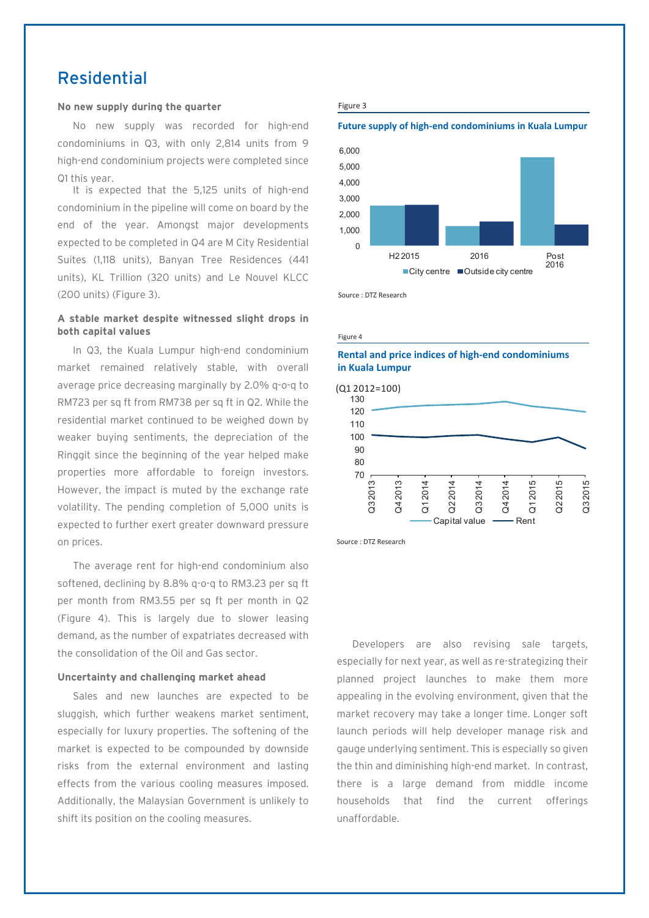### Residential

#### **No new supply during the quarter**

No new supply was recorded for high-end condominiums in Q3, with only 2,814 units from 9 high-end condominium projects were completed since Q1 this year.

It is expected that the 5,125 units of high-end condominium in the pipeline will come on board by the end of the year. Amongst major developments expected to be completed in Q4 are M City Residential Suites (1,118 units), Banyan Tree Residences (441 units), KL Trillion (320 units) and Le Nouvel KLCC (200 units) (Figure 3).

#### **A stable market despite witnessed slight drops in both capital values**

In Q3, the Kuala Lumpur high-end condominium market remained relatively stable, with overall average price decreasing marginally by 2.0% q-o-q to RM723 per sq ft from RM738 per sq ft in Q2. While the residential market continued to be weighed down by weaker buying sentiments, the depreciation of the Ringgit since the beginning of the year helped make properties more affordable to foreign investors. However, the impact is muted by the exchange rate volatility. The pending completion of 5,000 units is expected to further exert greater downward pressure on prices.

The average rent for high-end condominium also softened, declining by 8.8% g-o-g to RM3.23 per sq ft per month from RM3.55 per sq ft per month in Q2 (Figure 4). This is largely due to slower leasing demand, as the number of expatriates decreased with the consolidation of the Oil and Gas sector.

#### **Uncertainty and challenging market ahead**

Sales and new launches are expected to be sluggish, which further weakens market sentiment, especially for luxury properties. The softening of the market is expected to be compounded by downside risks from the external environment and lasting effects from the various cooling measures imposed. Additionally, the Malaysian Government is unlikely to shift its position on the cooling measures.

#### Figure 3

#### **Future supply of high-end condominiums in Kuala Lumpur**



Source : DTZ Research

Figure 4

#### **Rental and price indices of high-end condominiums in Kuala Lumpur**



Source : DTZ Research

Developers are also revising sale targets, especially for next year, as well as re-strategizing their planned project launches to make them more appealing in the evolving environment, given that the market recovery may take a longer time. Longer soft launch periods will help developer manage risk and gauge underlying sentiment. This is especially so given the thin and diminishing high-end market. In contrast, there is a large demand from middle income households that find the current offerings unaffordable.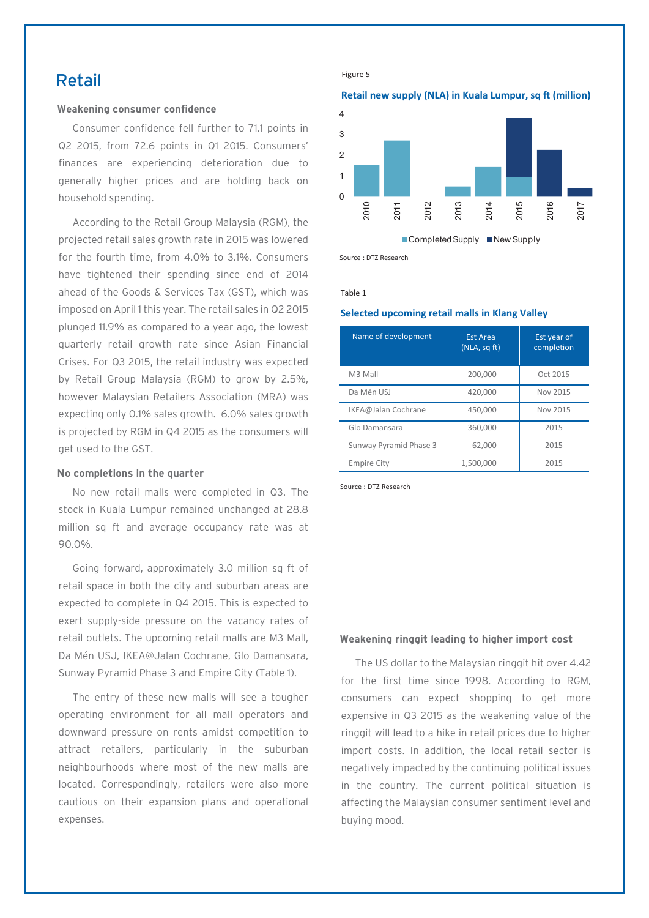### Retail

#### **Weakening consumer confidence**

Consumer confidence fell further to 71.1 points in Q2 2015, from 72.6 points in Q1 2015. Consumers' finances are experiencing deterioration due to generally higher prices and are holding back on household spending.

According to the Retail Group Malaysia (RGM), the projected retail sales growth rate in 2015 was lowered for the fourth time, from 4.0% to 3.1%. Consumers have tightened their spending since end of 2014 ahead of the Goods & Services Tax (GST), which was imposed on April 1 this year. The retail sales in Q2 2015 plunged 11.9% as compared to a year ago, the lowest quarterly retail growth rate since Asian Financial Crises. For Q3 2015, the retail industry was expected by Retail Group Malaysia (RGM) to grow by 2.5%, however Malaysian Retailers Association (MRA) was expecting only 0.1% sales growth. 6.0% sales growth is projected by RGM in Q4 2015 as the consumers will get used to the GST.

#### **No completions in the quarter**

No new retail malls were completed in Q3. The stock in Kuala Lumpur remained unchanged at 28.8 million sq ft and average occupancy rate was at 90.0%.

Going forward, approximately 3.0 million sq ft of retail space in both the city and suburban areas are expected to complete in Q4 2015. This is expected to exert supply-side pressure on the vacancy rates of retail outlets. The upcoming retail malls are M3 Mall, Da Mén USJ, IKEA@Jalan Cochrane, Glo Damansara, Sunway Pyramid Phase 3 and Empire City (Table 1).

The entry of these new malls will see a tougher operating environment for all mall operators and downward pressure on rents amidst competition to attract retailers, particularly in the suburban neighbourhoods where most of the new malls are located. Correspondingly, retailers were also more cautious on their expansion plans and operational expenses.

Figure 5

#### **Retail new supply (NLA) in Kuala Lumpur, sq ft (million)**



Source : DTZ Research

Table 1

#### **Selected upcoming retail malls in Klang Valley**

| Name of development    | <b>Est Area</b><br>(NLA, sqft) | Est year of<br>completion |
|------------------------|--------------------------------|---------------------------|
| M3 Mall                | 200,000                        | Oct 2015                  |
| Da Mén USJ             | 420.000                        | Nov 2015                  |
| IKEA@Jalan Cochrane    | 450.000                        | Nov 2015                  |
| Glo Damansara          | 360,000                        | 2015                      |
| Sunway Pyramid Phase 3 | 62,000                         | 2015                      |
| <b>Empire City</b>     | 1,500,000                      | 2015                      |

Source : DTZ Research

#### **Weakening ringgit leading to higher import cost**

The US dollar to the Malaysian ringgit hit over 4.42 for the first time since 1998. According to RGM, consumers can expect shopping to get more expensive in Q3 2015 as the weakening value of the ringgit will lead to a hike in retail prices due to higher import costs. In addition, the local retail sector is negatively impacted by the continuing political issues in the country. The current political situation is affecting the Malaysian consumer sentiment level and buying mood.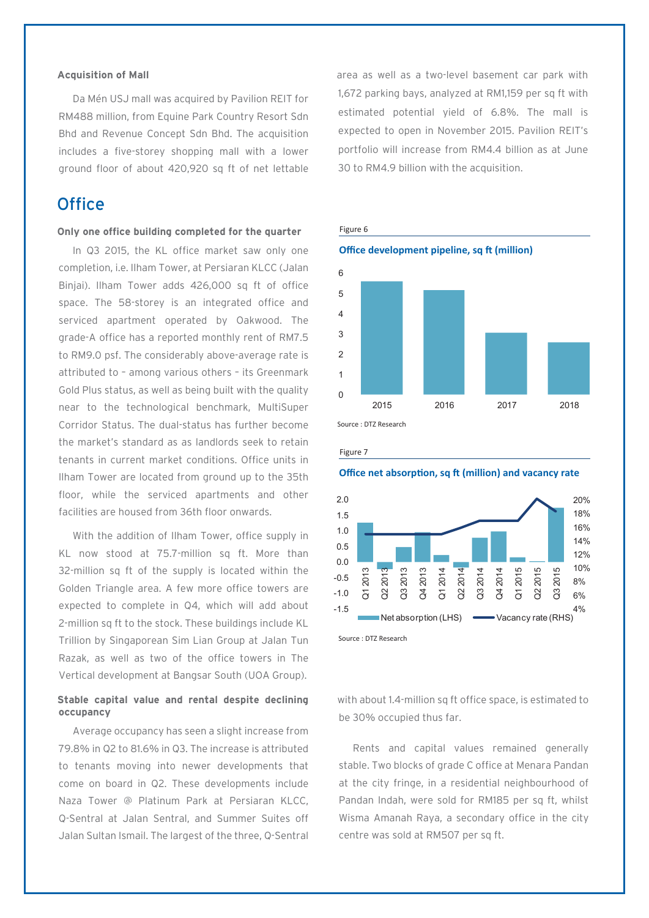#### **Acquisition of Mall**

Da Mén USJ mall was acquired by Pavilion REIT for RM488 million, from Equine Park Country Resort Sdn Bhd and Revenue Concept Sdn Bhd. The acquisition includes a five-storey shopping mall with a lower ground floor of about 420,920 sq ft of net lettable

### **Office**

#### **Only one office building completed for the quarter**

In Q3 2015, the KL office market saw only one completion, i.e. Ilham Tower, at Persiaran KLCC (Jalan Biniai). Ilham Tower adds 426,000 sq ft of office space. The 58-storey is an integrated office and serviced apartment operated by Oakwood. The grade-A office has a reported monthly rent of RM7.5 to RM9.0 psf. The considerably above-average rate is attributed to – among various others – its Greenmark Gold Plus status, as well as being built with the quality near to the technological benchmark, MultiSuper Corridor Status. The dual-status has further become the market's standard as as landlords seek to retain tenants in current market conditions. Office units in Ilham Tower are located from ground up to the 35th floor, while the serviced apartments and other facilities are housed from 36th floor onwards.

With the addition of Ilham Tower, office supply in KL now stood at 75.7-million sq ft. More than 32-million sq ft of the supply is located within the Golden Triangle area. A few more office towers are expected to complete in Q4, which will add about 2-million sq ft to the stock. These buildings include KL Trillion by Singaporean Sim Lian Group at Jalan Tun Razak, as well as two of the office towers in The Vertical development at Bangsar South (UOA Group).

#### **Stable capital value and rental despite declining occupancy**

Average occupancy has seen a slight increase from 79.8% in Q2 to 81.6% in Q3. The increase is attributed to tenants moving into newer developments that come on board in Q2. These developments include Naza Tower @ Platinum Park at Persiaran KLCC, Q-Sentral at Jalan Sentral, and Summer Suites off Jalan Sultan Ismail. The largest of the three, Q-Sentral area as well as a two-level basement car park with 1,672 parking bays, analyzed at RM1,159 per sq ft with estimated potential yield of 6.8%. The mall is expected to open in November 2015. Pavilion REIT's portfolio will increase from RM4.4 billion as at June 30 to RM4.9 billion with the acquisition.





Figure 7

**Office net absorption, sq ft (million) and vacancy rate**



Source : DTZ Research

with about 1.4-million sq ft office space, is estimated to be 30% occupied thus far.

Rents and capital values remained generally stable. Two blocks of grade C office at Menara Pandan at the city fringe, in a residential neighbourhood of Pandan Indah, were sold for RM185 per sq ft, whilst Wisma Amanah Raya, a secondary office in the city centre was sold at RM507 per sq ft.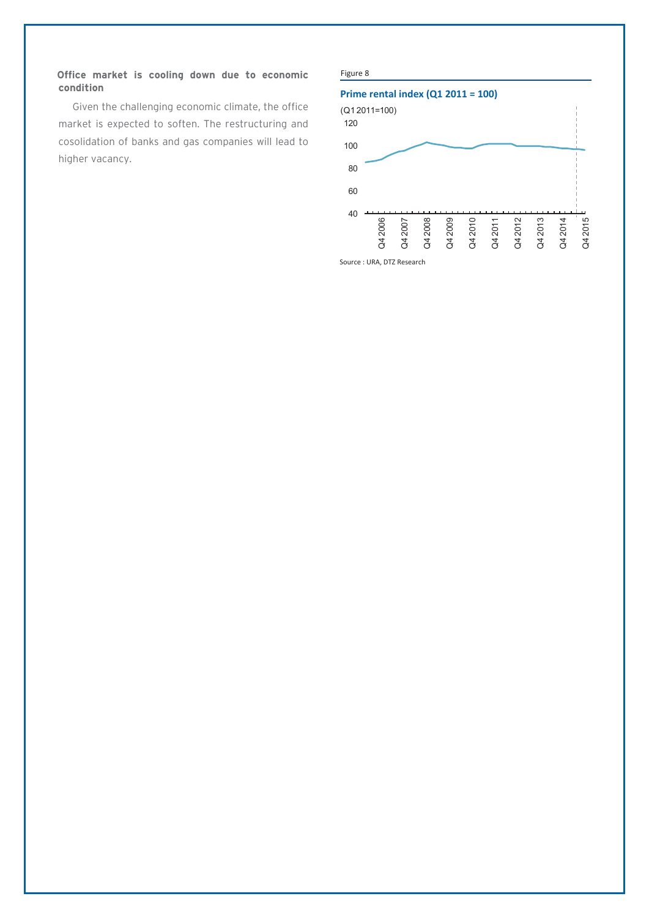#### **Office market is cooling down due to economic condition**

Given the challenging economic climate, the office market is expected to soften. The restructuring and cosolidation of banks and gas companies will lead to higher vacancy.

#### Figure 8

#### **Prime rental index (Q1 2011 = 100)**